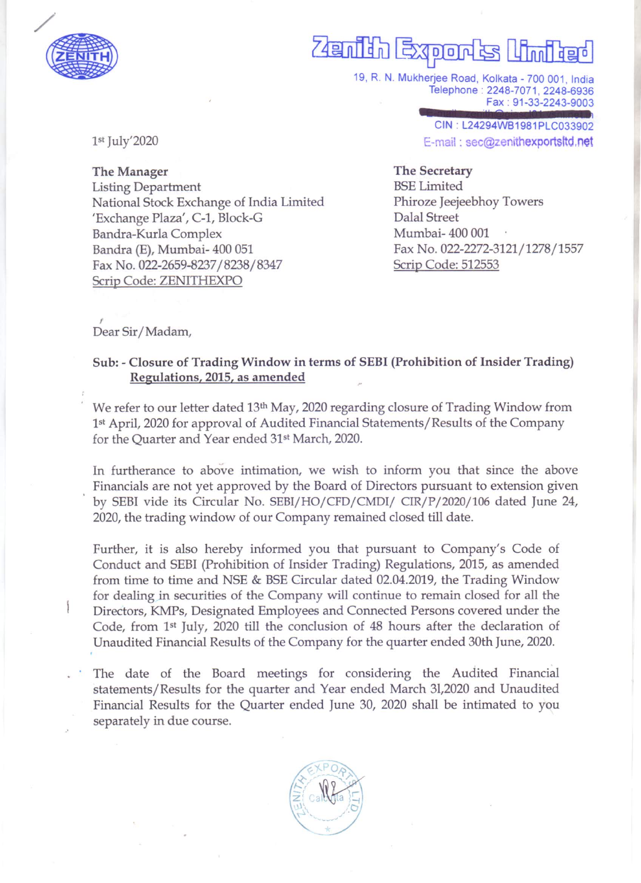

## $49$ nija  $D[D]$

19, R. N. Mukherjee Road, Kolkata - 700 001, India Telephone: 2248-7071, 2248-6936 Fax: 91-33-2243-9003

> CIN · L24294WB1981PLC033902 E-mail: sec@zenithexportsitd.net

1st July'2020

The Manager Listing Department National Stock Exchange of India Limited 'Exchange Plaza', C-1, Block-G Bandra-Kurla Complex Bandra (E), Mumbai- 400 051 Fax No. 022-2659-8237 /8238/8347 Scrip Code: ZENITHEXPO

The Secretary BSE Limited Phiroze Jeejeebhoy Towers Dalal Street Mumbai-400 001 Fax No. 022-2272-3121/1278/1557 Scrip Code: 512553

Dear Sir/Madam,

I

## Sub: - Closure of Trading Window in terms of SEBI (Prohibition of Insider Trading) Regulations, 2015, as amended

We refer to our letter dated 13<sup>th</sup> May, 2020 regarding closure of Trading Window from 1st April, 2020 for approval of Audited Financial Statements/Results of the Company for the Quarter and Year ended 31st March, 2020.

In furtherance to above intimation, we wish to inform you that since the above Financials are not yet approved by the Board of Directors pursuant to extension given by SEBI vide its Circular No. SEBI/HO/CFD/CMDI/ CIR/P/2020/106 dated June 24, 2020, the trading window of our Company remained closed till date.

Further, it is also hereby informed you that pursuant to Company's Code of Conduct and SEBI (Prohibition of Insider Trading) Regulations, 2015, as amended from time to time and NSE & BSE Circular dated 02.04.2019, the Trading Window for dealing in securities of the Company will continue to remain closed for all the Directors, KMPs, Designated Employees and Connected Persons covered under the Code, from 1st July, 2020 till the conclusion of 48 hours after the declaration of Unaudited Financial Results of the Company for the quarter ended 30th June, 2020.

The date of the Board meetings for considering the Audited Financial statements/Results for the quarter and Year ended March 31,2020 and Unaudited Financial Results for the Quarter ended June 30, 2020 shall be intimated to you separately in due course.